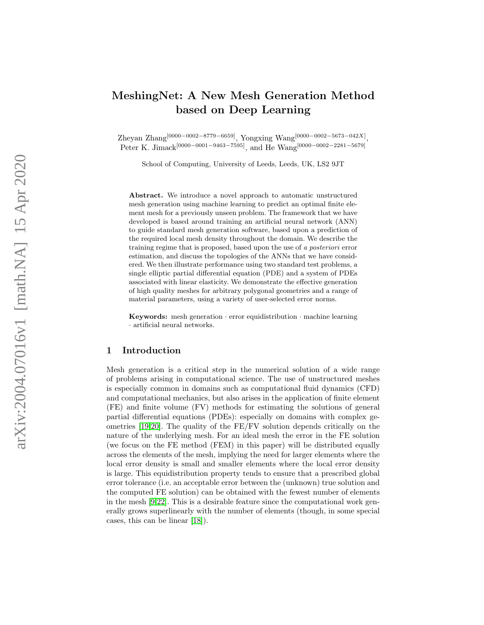# MeshingNet: A New Mesh Generation Method based on Deep Learning

Zheyan Zhang<sup>[0000–0002–8779–6659]</sup>, Yongxing Wang<sup>[0000–0002–5673–042X]</sup>, Peter K. Jimack<sup>[0000–0001–9463–7595]</sup>, and He Wang<sup>[0000–0002–2281–5679]</sup>

School of Computing, University of Leeds, Leeds, UK, LS2 9JT

Abstract. We introduce a novel approach to automatic unstructured mesh generation using machine learning to predict an optimal finite element mesh for a previously unseen problem. The framework that we have developed is based around training an artificial neural network (ANN) to guide standard mesh generation software, based upon a prediction of the required local mesh density throughout the domain. We describe the training regime that is proposed, based upon the use of a posteriori error estimation, and discuss the topologies of the ANNs that we have considered. We then illustrate performance using two standard test problems, a single elliptic partial differential equation (PDE) and a system of PDEs associated with linear elasticity. We demonstrate the effective generation of high quality meshes for arbitrary polygonal geometries and a range of material parameters, using a variety of user-selected error norms.

Keywords: mesh generation · error equidistribution · machine learning · artificial neural networks.

# 1 Introduction

Mesh generation is a critical step in the numerical solution of a wide range of problems arising in computational science. The use of unstructured meshes is especially common in domains such as computational fluid dynamics (CFD) and computational mechanics, but also arises in the application of finite element (FE) and finite volume (FV) methods for estimating the solutions of general partial differential equations (PDEs): especially on domains with complex geometries [\[19](#page-12-0)[,20\]](#page-12-1). The quality of the FE/FV solution depends critically on the nature of the underlying mesh. For an ideal mesh the error in the FE solution (we focus on the FE method (FEM) in this paper) will be distributed equally across the elements of the mesh, implying the need for larger elements where the local error density is small and smaller elements where the local error density is large. This equidistribution property tends to ensure that a prescribed global error tolerance (i.e. an acceptable error between the (unknown) true solution and the computed FE solution) can be obtained with the fewest number of elements in the mesh [\[9,](#page-12-2)[22\]](#page-13-0). This is a desirable feature since the computational work generally grows superlinearly with the number of elements (though, in some special cases, this can be linear [\[18\]](#page-12-3)).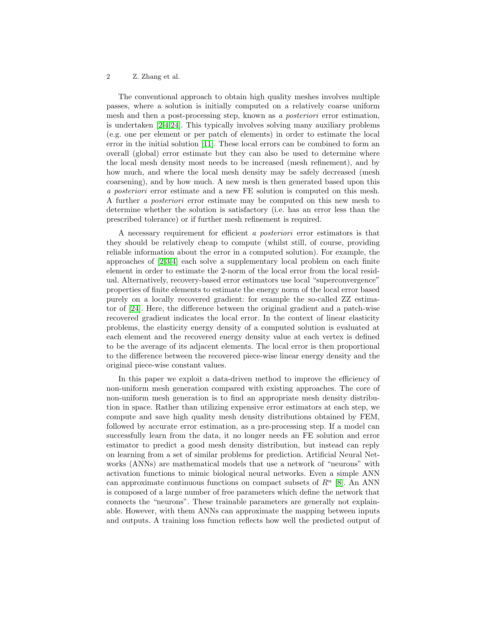### 2 Z. Zhang et al.

The conventional approach to obtain high quality meshes involves multiple passes, where a solution is initially computed on a relatively coarse uniform mesh and then a post-processing step, known as a posteriori error estimation, is undertaken [\[2,](#page-12-4)[4](#page-12-5)[,24\]](#page-13-1). This typically involves solving many auxiliary problems (e.g. one per element or per patch of elements) in order to estimate the local error in the initial solution [\[11\]](#page-12-6). These local errors can be combined to form an overall (global) error estimate but they can also be used to determine where the local mesh density most needs to be increased (mesh refinement), and by how much, and where the local mesh density may be safely decreased (mesh coarsening), and by how much. A new mesh is then generated based upon this a posteriori error estimate and a new FE solution is computed on this mesh. A further a posteriori error estimate may be computed on this new mesh to determine whether the solution is satisfactory (i.e. has an error less than the prescribed tolerance) or if further mesh refinement is required.

A necessary requirement for efficient a posteriori error estimators is that they should be relatively cheap to compute (whilst still, of course, providing reliable information about the error in a computed solution). For example, the approaches of [\[2,](#page-12-4)[3,](#page-12-7)[4\]](#page-12-5) each solve a supplementary local problem on each finite element in order to estimate the 2-norm of the local error from the local residual. Alternatively, recovery-based error estimators use local "superconvergence" properties of finite elements to estimate the energy norm of the local error based purely on a locally recovered gradient: for example the so-called ZZ estimator of [\[24\]](#page-13-1). Here, the difference between the original gradient and a patch-wise recovered gradient indicates the local error. In the context of linear elasticity problems, the elasticity energy density of a computed solution is evaluated at each element and the recovered energy density value at each vertex is defined to be the average of its adjacent elements. The local error is then proportional to the difference between the recovered piece-wise linear energy density and the original piece-wise constant values.

In this paper we exploit a data-driven method to improve the efficiency of non-uniform mesh generation compared with existing approaches. The core of non-uniform mesh generation is to find an appropriate mesh density distribution in space. Rather than utilizing expensive error estimators at each step, we compute and save high quality mesh density distributions obtained by FEM, followed by accurate error estimation, as a pre-processing step. If a model can successfully learn from the data, it no longer needs an FE solution and error estimator to predict a good mesh density distribution, but instead can reply on learning from a set of similar problems for prediction. Artificial Neural Networks (ANNs) are mathematical models that use a network of "neurons" with activation functions to mimic biological neural networks. Even a simple ANN can approximate continuous functions on compact subsets of  $R^n$  [\[8\]](#page-12-8). An ANN is composed of a large number of free parameters which define the network that connects the "neurons". These trainable parameters are generally not explainable. However, with them ANNs can approximate the mapping between inputs and outputs. A training loss function reflects how well the predicted output of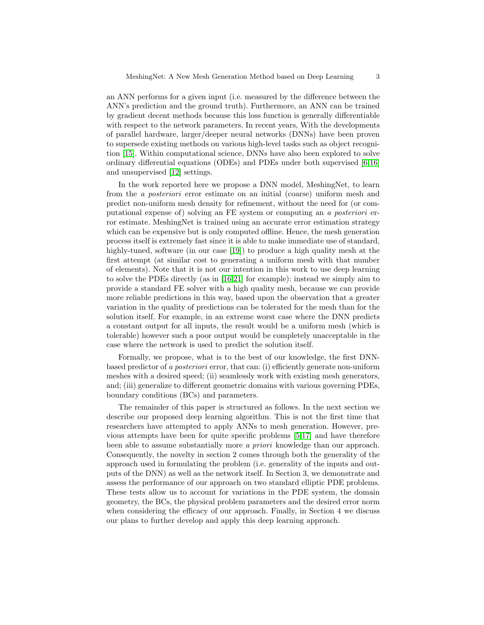an ANN performs for a given input (i.e. measured by the difference between the ANN's prediction and the ground truth). Furthermore, an ANN can be trained by gradient decent methods because this loss function is generally differentiable with respect to the network parameters. In recent years, With the developments of parallel hardware, larger/deeper neural networks (DNNs) have been proven to supersede existing methods on various high-level tasks such as object recognition [\[15\]](#page-12-9). Within computational science, DNNs have also been explored to solve ordinary differential equations (ODEs) and PDEs under both supervised [\[6,](#page-12-10)[16\]](#page-12-11) and unsupervised [\[12\]](#page-12-12) settings.

In the work reported here we propose a DNN model, MeshingNet, to learn from the a posteriori error estimate on an initial (coarse) uniform mesh and predict non-uniform mesh density for refinement, without the need for (or computational expense of) solving an FE system or computing an a posteriori error estimate. MeshingNet is trained using an accurate error estimation strategy which can be expensive but is only computed offline. Hence, the mesh generation process itself is extremely fast since it is able to make immediate use of standard, highly-tuned, software (in our case [\[19\]](#page-12-0)) to produce a high quality mesh at the first attempt (at similar cost to generating a uniform mesh with that number of elements). Note that it is not our intention in this work to use deep learning to solve the PDEs directly (as in [\[16,](#page-12-11)[21\]](#page-12-13) for example): instead we simply aim to provide a standard FE solver with a high quality mesh, because we can provide more reliable predictions in this way, based upon the observation that a greater variation in the quality of predictions can be tolerated for the mesh than for the solution itself. For example, in an extreme worst case where the DNN predicts a constant output for all inputs, the result would be a uniform mesh (which is tolerable) however such a poor output would be completely unacceptable in the case where the network is used to predict the solution itself.

Formally, we propose, what is to the best of our knowledge, the first DNNbased predictor of a posteriori error, that can: (i) efficiently generate non-uniform meshes with a desired speed; (ii) seamlessly work with existing mesh generators, and; (iii) generalize to different geometric domains with various governing PDEs, boundary conditions (BCs) and parameters.

The remainder of this paper is structured as follows. In the next section we describe our proposed deep learning algorithm. This is not the first time that researchers have attempted to apply ANNs to mesh generation. However, previous attempts have been for quite specific problems [\[5,](#page-12-14)[17\]](#page-12-15) and have therefore been able to assume substantially more a priori knowledge than our approach. Consequently, the novelty in section 2 comes through both the generality of the approach used in formulating the problem (i.e. generality of the inputs and outputs of the DNN) as well as the network itself. In Section 3, we demonstrate and assess the performance of our approach on two standard elliptic PDE problems. These tests allow us to account for variations in the PDE system, the domain geometry, the BCs, the physical problem parameters and the desired error norm when considering the efficacy of our approach. Finally, in Section 4 we discuss our plans to further develop and apply this deep learning approach.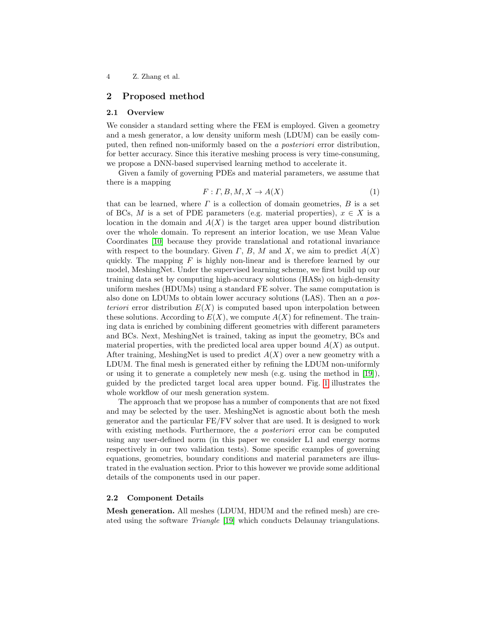## 2 Proposed method

#### <span id="page-3-0"></span>2.1 Overview

We consider a standard setting where the FEM is employed. Given a geometry and a mesh generator, a low density uniform mesh (LDUM) can be easily computed, then refined non-uniformly based on the a posteriori error distribution, for better accuracy. Since this iterative meshing process is very time-consuming, we propose a DNN-based supervised learning method to accelerate it.

Given a family of governing PDEs and material parameters, we assume that there is a mapping

<span id="page-3-1"></span>
$$
F: \Gamma, B, M, X \to A(X) \tag{1}
$$

that can be learned, where  $\Gamma$  is a collection of domain geometries,  $B$  is a set of BCs, M is a set of PDE parameters (e.g. material properties),  $x \in X$  is a location in the domain and  $A(X)$  is the target area upper bound distribution over the whole domain. To represent an interior location, we use Mean Value Coordinates [\[10\]](#page-12-16) because they provide translational and rotational invariance with respect to the boundary. Given  $\Gamma$ , B, M and X, we aim to predict  $A(X)$ quickly. The mapping  $F$  is highly non-linear and is therefore learned by our model, MeshingNet. Under the supervised learning scheme, we first build up our training data set by computing high-accuracy solutions (HASs) on high-density uniform meshes (HDUMs) using a standard FE solver. The same computation is also done on LDUMs to obtain lower accuracy solutions (LAS). Then an a posteriori error distribution  $E(X)$  is computed based upon interpolation between these solutions. According to  $E(X)$ , we compute  $A(X)$  for refinement. The training data is enriched by combining different geometries with different parameters and BCs. Next, MeshingNet is trained, taking as input the geometry, BCs and material properties, with the predicted local area upper bound  $A(X)$  as output. After training, MeshingNet is used to predict  $A(X)$  over a new geometry with a LDUM. The final mesh is generated either by refining the LDUM non-uniformly or using it to generate a completely new mesh (e.g. using the method in [\[19\]](#page-12-0)), guided by the predicted target local area upper bound. Fig. [1](#page-4-0) illustrates the whole workflow of our mesh generation system.

The approach that we propose has a number of components that are not fixed and may be selected by the user. MeshingNet is agnostic about both the mesh generator and the particular FE/FV solver that are used. It is designed to work with existing methods. Furthermore, the *a posteriori* error can be computed using any user-defined norm (in this paper we consider L1 and energy norms respectively in our two validation tests). Some specific examples of governing equations, geometries, boundary conditions and material parameters are illustrated in the evaluation section. Prior to this however we provide some additional details of the components used in our paper.

## 2.2 Component Details

Mesh generation. All meshes (LDUM, HDUM and the refined mesh) are created using the software Triangle [\[19\]](#page-12-0) which conducts Delaunay triangulations.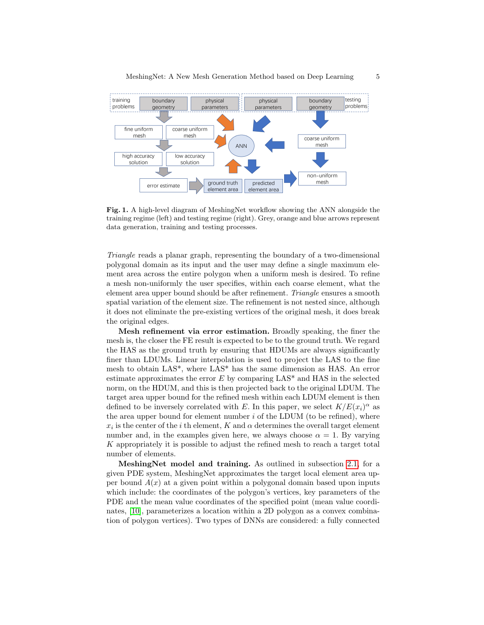

<span id="page-4-0"></span>Fig. 1. A high-level diagram of MeshingNet workflow showing the ANN alongside the training regime (left) and testing regime (right). Grey, orange and blue arrows represent data generation, training and testing processes.

Triangle reads a planar graph, representing the boundary of a two-dimensional polygonal domain as its input and the user may define a single maximum element area across the entire polygon when a uniform mesh is desired. To refine a mesh non-uniformly the user specifies, within each coarse element, what the element area upper bound should be after refinement. Triangle ensures a smooth spatial variation of the element size. The refinement is not nested since, although it does not eliminate the pre-existing vertices of the original mesh, it does break the original edges.

Mesh refinement via error estimation. Broadly speaking, the finer the mesh is, the closer the FE result is expected to be to the ground truth. We regard the HAS as the ground truth by ensuring that HDUMs are always significantly finer than LDUMs. Linear interpolation is used to project the LAS to the fine mesh to obtain LAS\*, where LAS\* has the same dimension as HAS. An error estimate approximates the error  $E$  by comparing LAS<sup>\*</sup> and HAS in the selected norm, on the HDUM, and this is then projected back to the original LDUM. The target area upper bound for the refined mesh within each LDUM element is then defined to be inversely correlated with E. In this paper, we select  $K/E(x_i)^\alpha$  as the area upper bound for element number  $i$  of the LDUM (to be refined), where  $x_i$  is the center of the *i* th element, K and  $\alpha$  determines the overall target element number and, in the examples given here, we always choose  $\alpha = 1$ . By varying K appropriately it is possible to adjust the refined mesh to reach a target total number of elements.

MeshingNet model and training. As outlined in subsection [2.1,](#page-3-0) for a given PDE system, MeshingNet approximates the target local element area upper bound  $A(x)$  at a given point within a polygonal domain based upon inputs which include: the coordinates of the polygon's vertices, key parameters of the PDE and the mean value coordinates of the specified point (mean value coordinates, [\[10\]](#page-12-16), parameterizes a location within a 2D polygon as a convex combination of polygon vertices). Two types of DNNs are considered: a fully connected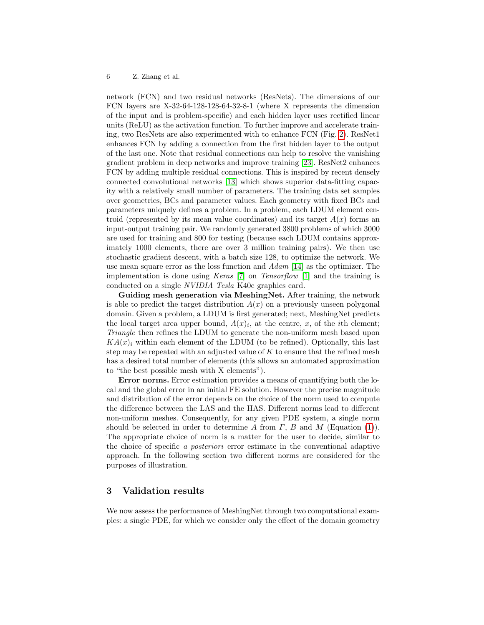network (FCN) and two residual networks (ResNets). The dimensions of our FCN layers are X-32-64-128-128-64-32-8-1 (where X represents the dimension of the input and is problem-specific) and each hidden layer uses rectified linear units (ReLU) as the activation function. To further improve and accelerate training, two ResNets are also experimented with to enhance FCN (Fig. [2\)](#page-6-0). ResNet1 enhances FCN by adding a connection from the first hidden layer to the output of the last one. Note that residual connections can help to resolve the vanishing gradient problem in deep networks and improve training [\[23\]](#page-13-2). ResNet2 enhances FCN by adding multiple residual connections. This is inspired by recent densely connected convolutional networks [\[13\]](#page-12-17) which shows superior data-fitting capacity with a relatively small number of parameters. The training data set samples over geometries, BCs and parameter values. Each geometry with fixed BCs and parameters uniquely defines a problem. In a problem, each LDUM element centroid (represented by its mean value coordinates) and its target  $A(x)$  forms an input-output training pair. We randomly generated 3800 problems of which 3000 are used for training and 800 for testing (because each LDUM contains approximately 1000 elements, there are over 3 million training pairs). We then use stochastic gradient descent, with a batch size 128, to optimize the network. We use mean square error as the loss function and  $Adam$  [\[14\]](#page-12-18) as the optimizer. The implementation is done using *Keras* [\[7\]](#page-12-19) on *Tensorflow* [\[1\]](#page-12-20) and the training is conducted on a single NVIDIA Tesla K40c graphics card.

Guiding mesh generation via MeshingNet. After training, the network is able to predict the target distribution  $A(x)$  on a previously unseen polygonal domain. Given a problem, a LDUM is first generated; next, MeshingNet predicts the local target area upper bound,  $A(x)_i$ , at the centre, x, of the *i*th element; Triangle then refines the LDUM to generate the non-uniform mesh based upon  $KA(x)$  within each element of the LDUM (to be refined). Optionally, this last step may be repeated with an adjusted value of  $K$  to ensure that the refined mesh has a desired total number of elements (this allows an automated approximation to "the best possible mesh with X elements").

Error norms. Error estimation provides a means of quantifying both the local and the global error in an initial FE solution. However the precise magnitude and distribution of the error depends on the choice of the norm used to compute the difference between the LAS and the HAS. Different norms lead to different non-uniform meshes. Consequently, for any given PDE system, a single norm should be selected in order to determine A from  $\Gamma$ , B and M (Equation [\(1\)](#page-3-1)). The appropriate choice of norm is a matter for the user to decide, similar to the choice of specific a posteriori error estimate in the conventional adaptive approach. In the following section two different norms are considered for the purposes of illustration.

# 3 Validation results

We now assess the performance of MeshingNet through two computational examples: a single PDE, for which we consider only the effect of the domain geometry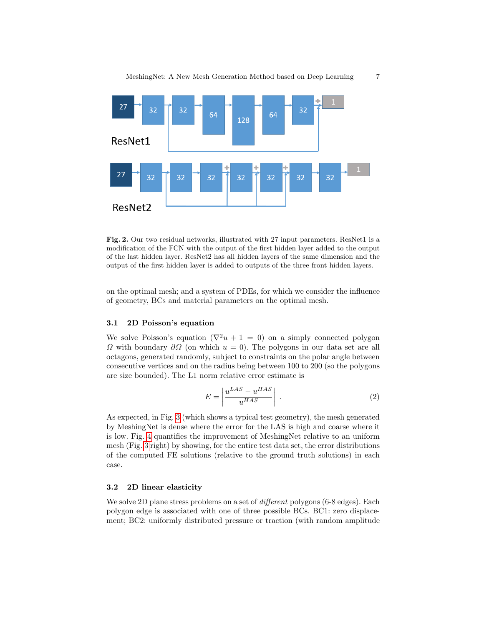

<span id="page-6-0"></span>Fig. 2. Our two residual networks, illustrated with 27 input parameters. ResNet1 is a modification of the FCN with the output of the first hidden layer added to the output of the last hidden layer. ResNet2 has all hidden layers of the same dimension and the output of the first hidden layer is added to outputs of the three front hidden layers.

on the optimal mesh; and a system of PDEs, for which we consider the influence of geometry, BCs and material parameters on the optimal mesh.

### 3.1 2D Poisson's equation

We solve Poisson's equation  $(\nabla^2 u + 1 = 0)$  on a simply connected polygon  $Ω$  with boundary  $∂Ω$  (on which  $u = 0$ ). The polygons in our data set are all octagons, generated randomly, subject to constraints on the polar angle between consecutive vertices and on the radius being between 100 to 200 (so the polygons are size bounded). The L1 norm relative error estimate is

$$
E = \left| \frac{u^{LAS} - u^{HAS}}{u^{HAS}} \right| \tag{2}
$$

As expected, in Fig. [3](#page-7-0) (which shows a typical test geometry), the mesh generated by MeshingNet is dense where the error for the LAS is high and coarse where it is low. Fig. [4](#page-7-1) quantifies the improvement of MeshingNet relative to an uniform mesh (Fig. [3](#page-7-0) right) by showing, for the entire test data set, the error distributions of the computed FE solutions (relative to the ground truth solutions) in each case.

## 3.2 2D linear elasticity

We solve 2D plane stress problems on a set of *different* polygons (6-8 edges). Each polygon edge is associated with one of three possible BCs. BC1: zero displacement; BC2: uniformly distributed pressure or traction (with random amplitude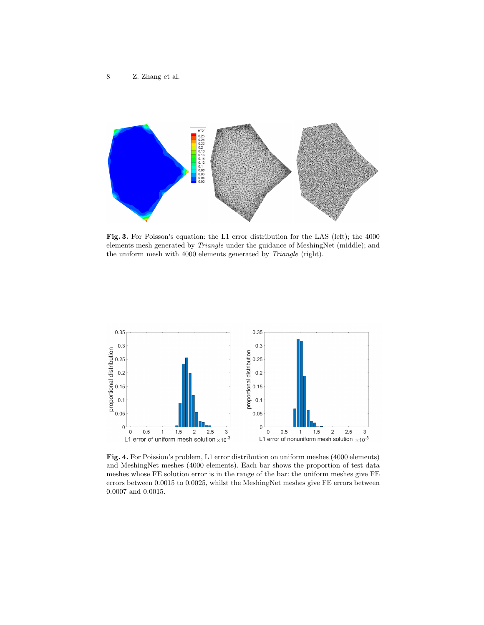

<span id="page-7-0"></span>Fig. 3. For Poisson's equation: the L1 error distribution for the LAS (left); the 4000 elements mesh generated by Triangle under the guidance of MeshingNet (middle); and the uniform mesh with 4000 elements generated by Triangle (right).



<span id="page-7-1"></span>Fig. 4. For Poission's problem, L1 error distribution on uniform meshes (4000 elements) and MeshingNet meshes (4000 elements). Each bar shows the proportion of test data meshes whose FE solution error is in the range of the bar: the uniform meshes give FE errors between 0.0015 to 0.0025, whilst the MeshingNet meshes give FE errors between 0.0007 and 0.0015.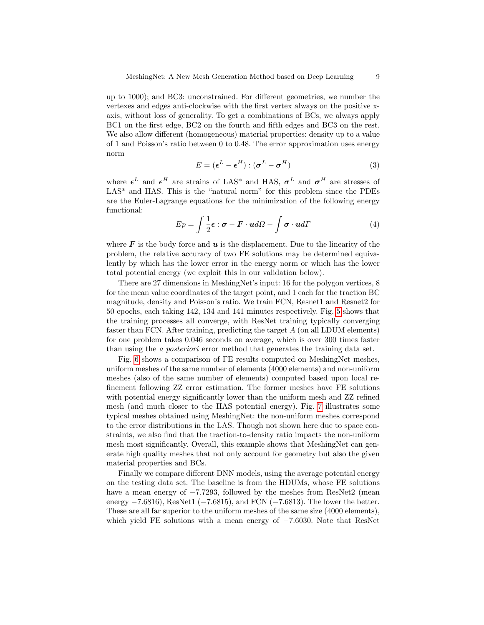up to 1000); and BC3: unconstrained. For different geometries, we number the vertexes and edges anti-clockwise with the first vertex always on the positive xaxis, without loss of generality. To get a combinations of BCs, we always apply BC1 on the first edge, BC2 on the fourth and fifth edges and BC3 on the rest. We also allow different (homogeneous) material properties: density up to a value of 1 and Poisson's ratio between 0 to 0.48. The error approximation uses energy norm

$$
E = (\epsilon^L - \epsilon^H) : (\boldsymbol{\sigma}^L - \boldsymbol{\sigma}^H)
$$
 (3)

where  $\epsilon^L$  and  $\epsilon^H$  are strains of LAS<sup>\*</sup> and HAS,  $\sigma^L$  and  $\sigma^H$  are stresses of LAS\* and HAS. This is the "natural norm" for this problem since the PDEs are the Euler-Lagrange equations for the minimization of the following energy functional:

$$
Ep = \int \frac{1}{2} \boldsymbol{\epsilon} : \boldsymbol{\sigma} - \boldsymbol{F} \cdot \boldsymbol{u} d\Omega - \int \boldsymbol{\sigma} \cdot \boldsymbol{u} d\Gamma \tag{4}
$$

where  $\bf{F}$  is the body force and  $\bf{u}$  is the displacement. Due to the linearity of the problem, the relative accuracy of two FE solutions may be determined equivalently by which has the lower error in the energy norm or which has the lower total potential energy (we exploit this in our validation below).

There are 27 dimensions in MeshingNet's input: 16 for the polygon vertices, 8 for the mean value coordinates of the target point, and 1 each for the traction BC magnitude, density and Poisson's ratio. We train FCN, Resnet1 and Resnet2 for 50 epochs, each taking 142, 134 and 141 minutes respectively. Fig. [5](#page-9-0) shows that the training processes all converge, with ResNet training typically converging faster than FCN. After training, predicting the target A (on all LDUM elements) for one problem takes 0.046 seconds on average, which is over 300 times faster than using the a posteriori error method that generates the training data set.

Fig. [6](#page-9-1) shows a comparison of FE results computed on MeshingNet meshes, uniform meshes of the same number of elements (4000 elements) and non-uniform meshes (also of the same number of elements) computed based upon local refinement following ZZ error estimation. The former meshes have FE solutions with potential energy significantly lower than the uniform mesh and  $ZZ$  refined mesh (and much closer to the HAS potential energy). Fig. [7](#page-10-0) illustrates some typical meshes obtained using MeshingNet: the non-uniform meshes correspond to the error distributions in the LAS. Though not shown here due to space constraints, we also find that the traction-to-density ratio impacts the non-uniform mesh most significantly. Overall, this example shows that MeshingNet can generate high quality meshes that not only account for geometry but also the given material properties and BCs.

Finally we compare different DNN models, using the average potential energy on the testing data set. The baseline is from the HDUMs, whose FE solutions have a mean energy of −7.7293, followed by the meshes from ResNet2 (mean energy  $-7.6816$ , ResNet1 ( $-7.6815$ ), and FCN ( $-7.6813$ ). The lower the better. These are all far superior to the uniform meshes of the same size (4000 elements), which yield FE solutions with a mean energy of −7.6030. Note that ResNet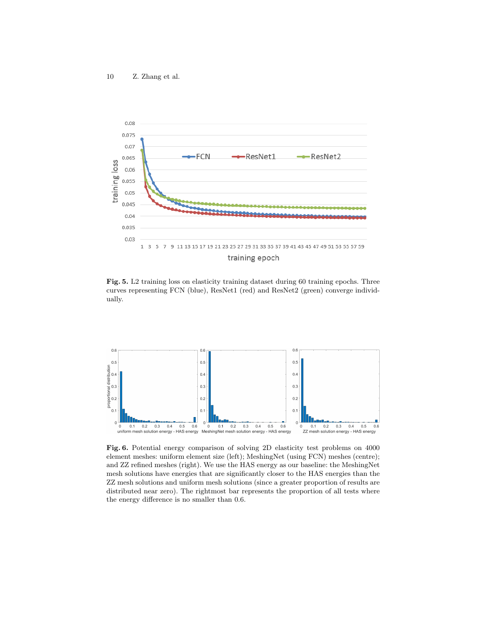

<span id="page-9-0"></span>Fig. 5. L2 training loss on elasticity training dataset during 60 training epochs. Three curves representing FCN (blue), ResNet1 (red) and ResNet2 (green) converge individually.



<span id="page-9-1"></span>Fig. 6. Potential energy comparison of solving 2D elasticity test problems on 4000 element meshes: uniform element size (left); MeshingNet (using FCN) meshes (centre); and ZZ refined meshes (right). We use the HAS energy as our baseline: the MeshingNet mesh solutions have energies that are significantly closer to the HAS energies than the ZZ mesh solutions and uniform mesh solutions (since a greater proportion of results are distributed near zero). The rightmost bar represents the proportion of all tests where the energy difference is no smaller than 0.6.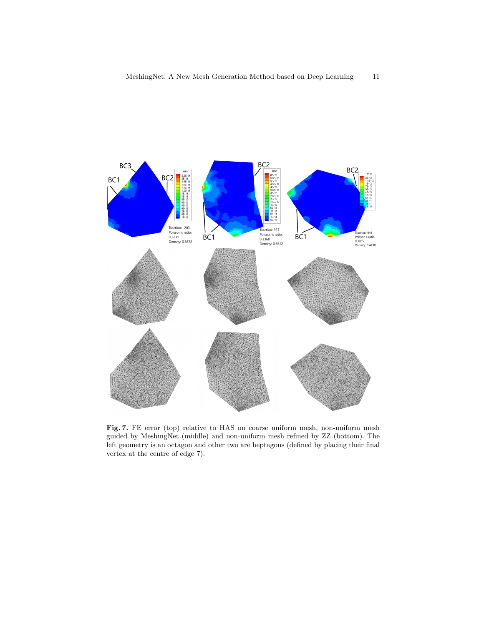

<span id="page-10-0"></span>Fig. 7. FE error (top) relative to HAS on coarse uniform mesh, non-uniform mesh guided by MeshingNet (middle) and non-uniform mesh refined by ZZ (bottom). The left geometry is an octagon and other two are heptagons (defined by placing their final vertex at the centre of edge 7).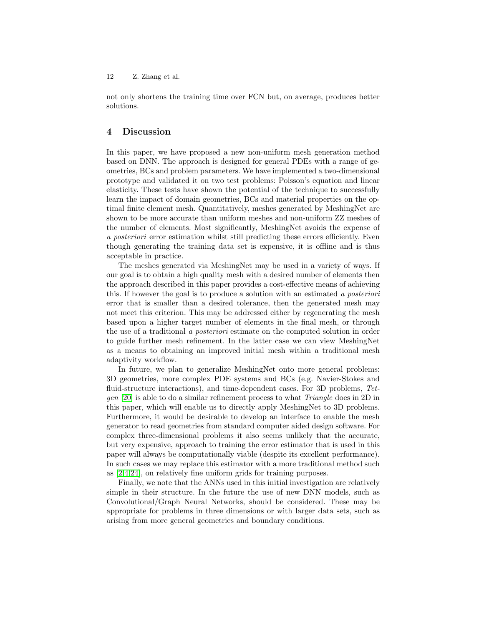not only shortens the training time over FCN but, on average, produces better solutions.

## 4 Discussion

In this paper, we have proposed a new non-uniform mesh generation method based on DNN. The approach is designed for general PDEs with a range of geometries, BCs and problem parameters. We have implemented a two-dimensional prototype and validated it on two test problems: Poisson's equation and linear elasticity. These tests have shown the potential of the technique to successfully learn the impact of domain geometries, BCs and material properties on the optimal finite element mesh. Quantitatively, meshes generated by MeshingNet are shown to be more accurate than uniform meshes and non-uniform ZZ meshes of the number of elements. Most significantly, MeshingNet avoids the expense of a posteriori error estimation whilst still predicting these errors efficiently. Even though generating the training data set is expensive, it is offline and is thus acceptable in practice.

The meshes generated via MeshingNet may be used in a variety of ways. If our goal is to obtain a high quality mesh with a desired number of elements then the approach described in this paper provides a cost-effective means of achieving this. If however the goal is to produce a solution with an estimated a posteriori error that is smaller than a desired tolerance, then the generated mesh may not meet this criterion. This may be addressed either by regenerating the mesh based upon a higher target number of elements in the final mesh, or through the use of a traditional a posteriori estimate on the computed solution in order to guide further mesh refinement. In the latter case we can view MeshingNet as a means to obtaining an improved initial mesh within a traditional mesh adaptivity workflow.

In future, we plan to generalize MeshingNet onto more general problems: 3D geometries, more complex PDE systems and BCs (e.g. Navier-Stokes and fluid-structure interactions), and time-dependent cases. For 3D problems, Tetgen [\[20\]](#page-12-1) is able to do a similar refinement process to what Triangle does in 2D in this paper, which will enable us to directly apply MeshingNet to 3D problems. Furthermore, it would be desirable to develop an interface to enable the mesh generator to read geometries from standard computer aided design software. For complex three-dimensional problems it also seems unlikely that the accurate, but very expensive, approach to training the error estimator that is used in this paper will always be computationally viable (despite its excellent performance). In such cases we may replace this estimator with a more traditional method such as [\[2,](#page-12-4)[4](#page-12-5)[,24\]](#page-13-1), on relatively fine uniform grids for training purposes.

Finally, we note that the ANNs used in this initial investigation are relatively simple in their structure. In the future the use of new DNN models, such as Convolutional/Graph Neural Networks, should be considered. These may be appropriate for problems in three dimensions or with larger data sets, such as arising from more general geometries and boundary conditions.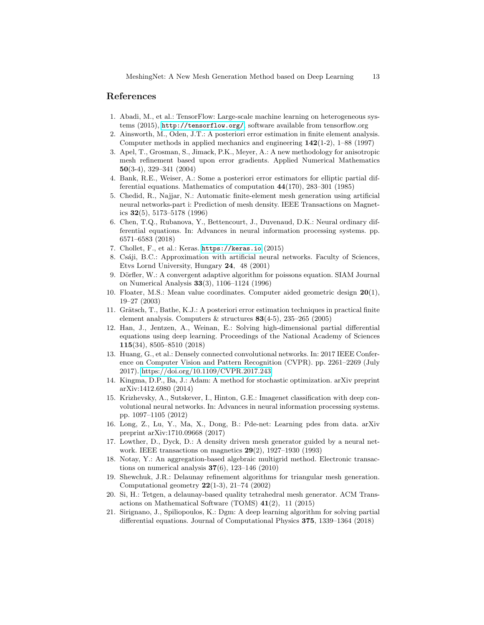## References

- <span id="page-12-20"></span>1. Abadi, M., et al.: TensorFlow: Large-scale machine learning on heterogeneous systems (2015), <http://tensorflow.org/>, software available from tensorflow.org
- <span id="page-12-4"></span>2. Ainsworth, M., Oden, J.T.: A posteriori error estimation in finite element analysis. Computer methods in applied mechanics and engineering 142(1-2), 1–88 (1997)
- <span id="page-12-7"></span>3. Apel, T., Grosman, S., Jimack, P.K., Meyer, A.: A new methodology for anisotropic mesh refinement based upon error gradients. Applied Numerical Mathematics 50(3-4), 329–341 (2004)
- <span id="page-12-5"></span>4. Bank, R.E., Weiser, A.: Some a posteriori error estimators for elliptic partial differential equations. Mathematics of computation  $44(170)$ , 283–301 (1985)
- <span id="page-12-14"></span>5. Chedid, R., Najjar, N.: Automatic finite-element mesh generation using artificial neural networks-part i: Prediction of mesh density. IEEE Transactions on Magnetics 32(5), 5173–5178 (1996)
- <span id="page-12-10"></span>6. Chen, T.Q., Rubanova, Y., Bettencourt, J., Duvenaud, D.K.: Neural ordinary differential equations. In: Advances in neural information processing systems. pp. 6571–6583 (2018)
- <span id="page-12-19"></span>7. Chollet, F., et al.: Keras. <https://keras.io> (2015)
- <span id="page-12-8"></span>8. Cs´aji, B.C.: Approximation with artificial neural networks. Faculty of Sciences, Etvs Lornd University, Hungary 24, 48 (2001)
- <span id="page-12-2"></span>9. Dörfler, W.: A convergent adaptive algorithm for poissons equation. SIAM Journal on Numerical Analysis 33(3), 1106–1124 (1996)
- <span id="page-12-16"></span>10. Floater, M.S.: Mean value coordinates. Computer aided geometric design 20(1), 19–27 (2003)
- <span id="page-12-6"></span>11. Grätsch, T., Bathe, K.J.: A posteriori error estimation techniques in practical finite element analysis. Computers  $&$  structures  $83(4-5)$ ,  $235-265$  (2005)
- <span id="page-12-12"></span>12. Han, J., Jentzen, A., Weinan, E.: Solving high-dimensional partial differential equations using deep learning. Proceedings of the National Academy of Sciences 115(34), 8505–8510 (2018)
- <span id="page-12-17"></span>13. Huang, G., et al.: Densely connected convolutional networks. In: 2017 IEEE Conference on Computer Vision and Pattern Recognition (CVPR). pp. 2261–2269 (July 2017).<https://doi.org/10.1109/CVPR.2017.243>
- <span id="page-12-18"></span>14. Kingma, D.P., Ba, J.: Adam: A method for stochastic optimization. arXiv preprint arXiv:1412.6980 (2014)
- <span id="page-12-9"></span>15. Krizhevsky, A., Sutskever, I., Hinton, G.E.: Imagenet classification with deep convolutional neural networks. In: Advances in neural information processing systems. pp. 1097–1105 (2012)
- <span id="page-12-11"></span>16. Long, Z., Lu, Y., Ma, X., Dong, B.: Pde-net: Learning pdes from data. arXiv preprint arXiv:1710.09668 (2017)
- <span id="page-12-15"></span>17. Lowther, D., Dyck, D.: A density driven mesh generator guided by a neural network. IEEE transactions on magnetics 29(2), 1927–1930 (1993)
- <span id="page-12-3"></span>18. Notay, Y.: An aggregation-based algebraic multigrid method. Electronic transactions on numerical analysis  $37(6)$ , 123–146 (2010)
- <span id="page-12-0"></span>19. Shewchuk, J.R.: Delaunay refinement algorithms for triangular mesh generation. Computational geometry  $22(1-3)$ ,  $21-74$   $(2002)$
- <span id="page-12-1"></span>20. Si, H.: Tetgen, a delaunay-based quality tetrahedral mesh generator. ACM Transactions on Mathematical Software (TOMS) 41(2), 11 (2015)
- <span id="page-12-13"></span>21. Sirignano, J., Spiliopoulos, K.: Dgm: A deep learning algorithm for solving partial differential equations. Journal of Computational Physics 375, 1339–1364 (2018)